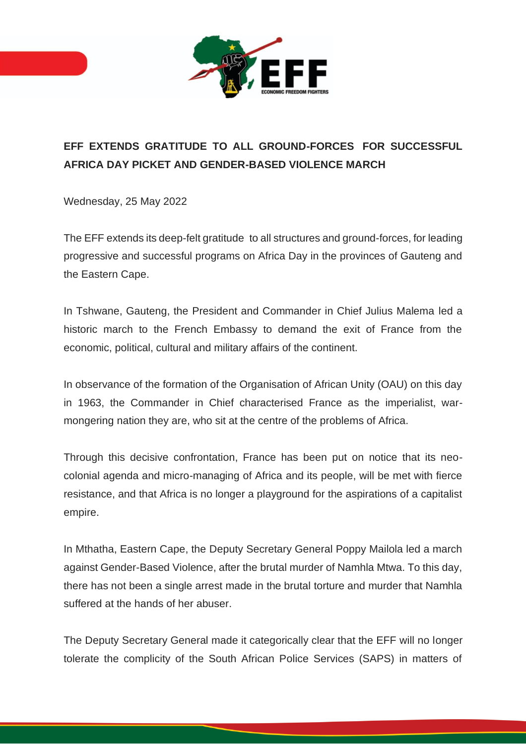

## **EFF EXTENDS GRATITUDE TO ALL GROUND-FORCES FOR SUCCESSFUL AFRICA DAY PICKET AND GENDER-BASED VIOLENCE MARCH**

Wednesday, 25 May 2022

The EFF extends its deep-felt gratitude to all structures and ground-forces, for leading progressive and successful programs on Africa Day in the provinces of Gauteng and the Eastern Cape.

In Tshwane, Gauteng, the President and Commander in Chief Julius Malema led a historic march to the French Embassy to demand the exit of France from the economic, political, cultural and military affairs of the continent.

In observance of the formation of the Organisation of African Unity (OAU) on this day in 1963, the Commander in Chief characterised France as the imperialist, warmongering nation they are, who sit at the centre of the problems of Africa.

Through this decisive confrontation, France has been put on notice that its neocolonial agenda and micro-managing of Africa and its people, will be met with fierce resistance, and that Africa is no longer a playground for the aspirations of a capitalist empire.

In Mthatha, Eastern Cape, the Deputy Secretary General Poppy Mailola led a march against Gender-Based Violence, after the brutal murder of Namhla Mtwa. To this day, there has not been a single arrest made in the brutal torture and murder that Namhla suffered at the hands of her abuser.

The Deputy Secretary General made it categorically clear that the EFF will no longer tolerate the complicity of the South African Police Services (SAPS) in matters of